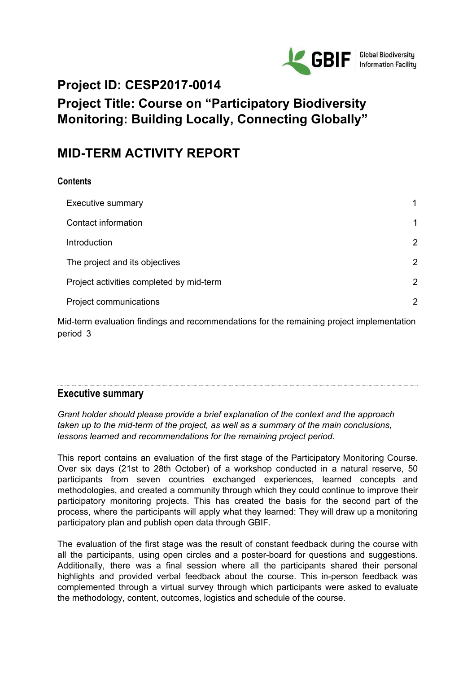

# **Project ID: CESP2017-0014**

# **Project Title: Course on "Participatory Biodiversity Monitoring: Building Locally, Connecting Globally"**

# **MID-TERM ACTIVITY REPORT**

## **Contents**

| <b>Executive summary</b>                 | 1 |
|------------------------------------------|---|
| Contact information                      | 1 |
| Introduction                             | 2 |
| The project and its objectives           | 2 |
| Project activities completed by mid-term | 2 |
| Project communications                   | 2 |
|                                          |   |

Mid-term evaluation findings and [recommendations](#page-6-0) for the remaining project implementation [period](#page-6-0) [3](#page-6-0)

## <span id="page-0-0"></span>**Executive summary**

*Grant holder should please provide a brief explanation of the context and the approach taken up to the mid-term of the project, as well as a summary of the main conclusions, lessons learned and recommendations for the remaining project period.*

This report contains an evaluation of the first stage of the Participatory Monitoring Course. Over six days (21st to 28th October) of a workshop conducted in a natural reserve, 50 participants from seven countries exchanged experiences, learned concepts and methodologies, and created a community through which they could continue to improve their participatory monitoring projects. This has created the basis for the second part of the process, where the participants will apply what they learned: They will draw up a monitoring participatory plan and publish open data through GBIF.

The evaluation of the first stage was the result of constant feedback during the course with all the participants, using open circles and a poster-board for questions and suggestions. Additionally, there was a final session where all the participants shared their personal highlights and provided verbal feedback about the course. This in-person feedback was complemented through a virtual survey through which participants were asked to evaluate the methodology, content, outcomes, logistics and schedule of the course.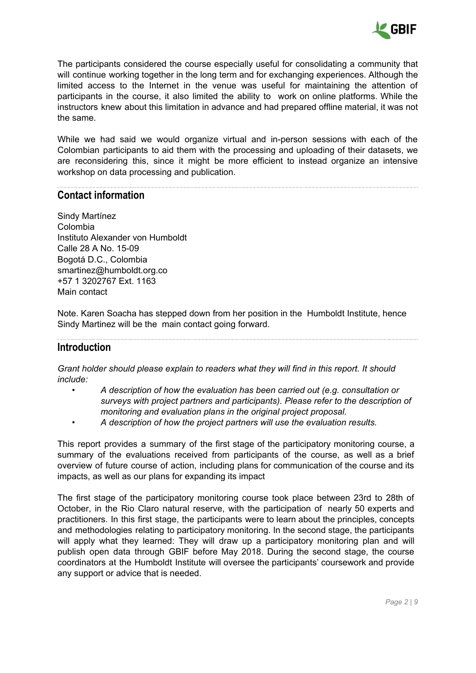

The participants considered the course especially useful for consolidating a community that will continue working together in the long term and for exchanging experiences. Although the limited access to the Internet in the venue was useful for maintaining the attention of participants in the course, it also limited the ability to work on online platforms. While the instructors knew about this limitation in advance and had prepared offline material, it was not the same.

While we had said we would organize virtual and in-person sessions with each of the Colombian participants to aid them with the processing and uploading of their datasets, we are reconsidering this, since it might be more efficient to instead organize an intensive workshop on data processing and publication.

## <span id="page-1-0"></span>**Contact information**

Sindy Martínez Colombia Instituto Alexander von Humboldt Calle 28 A No. 15-09 Bogotá D.C., Colombia smartinez@humboldt.org.co +57 1 3202767 Ext. 1163 Main contact

Note. Karen Soacha has stepped down from her position in the Humboldt Institute, hence Sindy Martinez will be the main contact going forward.

### <span id="page-1-1"></span>**Introduction**

*Grant holder should please explain to readers what they will find in this report. It should include:*

- *• A description of how the evaluation has been carried out (e.g. consultation or surveys with project partners and participants). Please refer to the description of monitoring and evaluation plans in the original project proposal.*
- *• A description of how the project partners will use the evaluation results.*

This report provides a summary of the first stage of the participatory monitoring course, a summary of the evaluations received from participants of the course, as well as a brief overview of future course of action, including plans for communication of the course and its impacts, as well as our plans for expanding its impact

The first stage of the participatory monitoring course took place between 23rd to 28th of October, in the Rio Claro natural reserve, with the participation of nearly 50 experts and practitioners. In this first stage, the participants were to learn about the principles, concepts and methodologies relating to participatory monitoring. In the second stage, the participants will apply what they learned: They will draw up a participatory monitoring plan and will publish open data through GBIF before May 2018. During the second stage, the course coordinators at the Humboldt Institute will oversee the participants' coursework and provide any support or advice that is needed.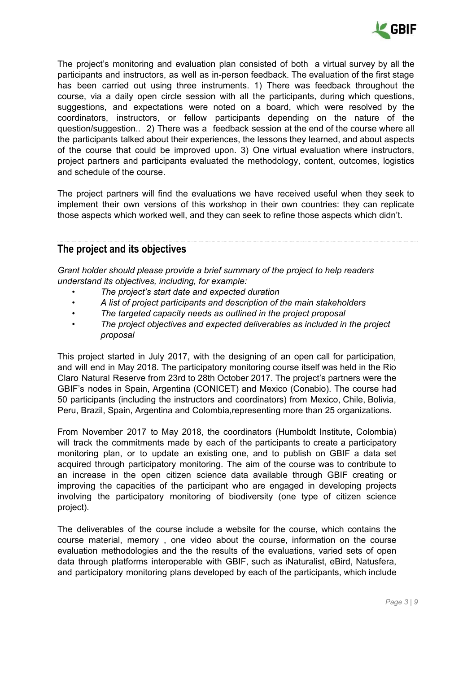

The project's monitoring and evaluation plan consisted of both a virtual survey by all the participants and instructors, as well as in-person feedback. The evaluation of the first stage has been carried out using three instruments. 1) There was feedback throughout the course, via a daily open circle session with all the participants, during which questions, suggestions, and expectations were noted on a board, which were resolved by the coordinators, instructors, or fellow participants depending on the nature of the question/suggestion.. 2) There was a feedback session at the end of the course where all the participants talked about their experiences, the lessons they learned, and about aspects of the course that could be improved upon. 3) One virtual evaluation where instructors, project partners and participants evaluated the methodology, content, outcomes, logistics and schedule of the course.

The project partners will find the evaluations we have received useful when they seek to implement their own versions of this workshop in their own countries: they can replicate those aspects which worked well, and they can seek to refine those aspects which didn't.

## <span id="page-2-0"></span>**The project and its objectives**

*Grant holder should please provide a brief summary of the project to help readers understand its objectives, including, for example:*

- *• The project's start date and expected duration*
- *• A list of project participants and description of the main stakeholders*
- *• The targeted capacity needs as outlined in the project proposal*
- *• The project objectives and expected deliverables as included in the project proposal*

This project started in July 2017, with the designing of an open call for participation, and will end in May 2018. The participatory monitoring course itself was held in the Rio Claro Natural Reserve from 23rd to 28th October 2017. The project's partners were the GBIF's nodes in Spain, Argentina (CONICET) and Mexico (Conabio). The course had 50 participants (including the instructors and coordinators) from Mexico, Chile, Bolivia, Peru, Brazil, Spain, Argentina and Colombia,representing more than 25 organizations.

From November 2017 to May 2018, the coordinators (Humboldt Institute, Colombia) will track the commitments made by each of the participants to create a participatory monitoring plan, or to update an existing one, and to publish on GBIF a data set acquired through participatory monitoring. The aim of the course was to contribute to an increase in the open citizen science data available through GBIF creating or improving the capacities of the participant who are engaged in developing projects involving the participatory monitoring of biodiversity (one type of citizen science project).

The deliverables of the course include a website for the course, which contains the course material, memory , one video about the course, information on the course evaluation methodologies and the the results of the evaluations, varied sets of open data through platforms interoperable with GBIF, such as iNaturalist, eBird, Natusfera, and participatory monitoring plans developed by each of the participants, which include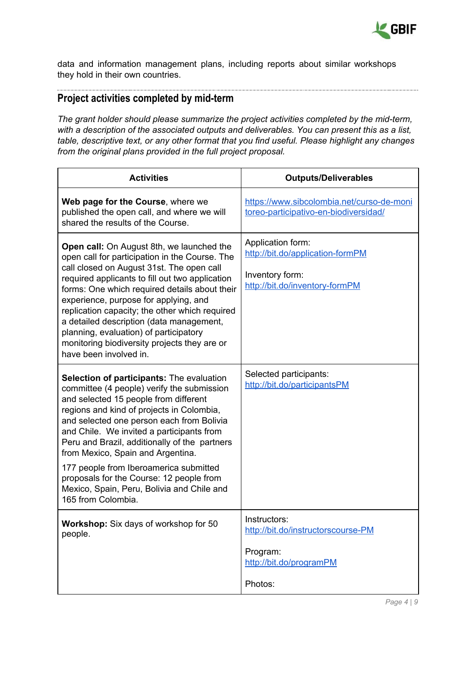

data and information management plans, including reports about similar workshops they hold in their own countries.

## <span id="page-3-0"></span>**Project activities completed by mid-term**

*The grant holder should please summarize the project activities completed by the mid-term, with a description of the associated outputs and deliverables. You can present this as a list, table, descriptive text, or any other format that you find useful. Please highlight any changes from the original plans provided in the full project proposal.*

| <b>Activities</b>                                                                                                                                                                                                                                                                                                                                                                                                                                                                                                       | <b>Outputs/Deliverables</b>                                                                                |
|-------------------------------------------------------------------------------------------------------------------------------------------------------------------------------------------------------------------------------------------------------------------------------------------------------------------------------------------------------------------------------------------------------------------------------------------------------------------------------------------------------------------------|------------------------------------------------------------------------------------------------------------|
| Web page for the Course, where we<br>published the open call, and where we will<br>shared the results of the Course.                                                                                                                                                                                                                                                                                                                                                                                                    | https://www.sibcolombia.net/curso-de-moni<br>toreo-participativo-en-biodiversidad/                         |
| Open call: On August 8th, we launched the<br>open call for participation in the Course. The<br>call closed on August 31st. The open call<br>required applicants to fill out two application<br>forms: One which required details about their<br>experience, purpose for applying, and<br>replication capacity; the other which required<br>a detailed description (data management,<br>planning, evaluation) of participatory<br>monitoring biodiversity projects they are or<br>have been involved in.                 | Application form:<br>http://bit.do/application-formPM<br>Inventory form:<br>http://bit.do/inventory-formPM |
| Selection of participants: The evaluation<br>committee (4 people) verify the submission<br>and selected 15 people from different<br>regions and kind of projects in Colombia,<br>and selected one person each from Bolivia<br>and Chile. We invited a participants from<br>Peru and Brazil, additionally of the partners<br>from Mexico, Spain and Argentina.<br>177 people from Iberoamerica submitted<br>proposals for the Course: 12 people from<br>Mexico, Spain, Peru, Bolivia and Chile and<br>165 from Colombia. | Selected participants:<br>http://bit.do/participantsPM                                                     |
| Workshop: Six days of workshop for 50<br>people.                                                                                                                                                                                                                                                                                                                                                                                                                                                                        | Instructors:<br>http://bit.do/instructorscourse-PM<br>Program:<br>http://bit.do/programPM<br>Photos:       |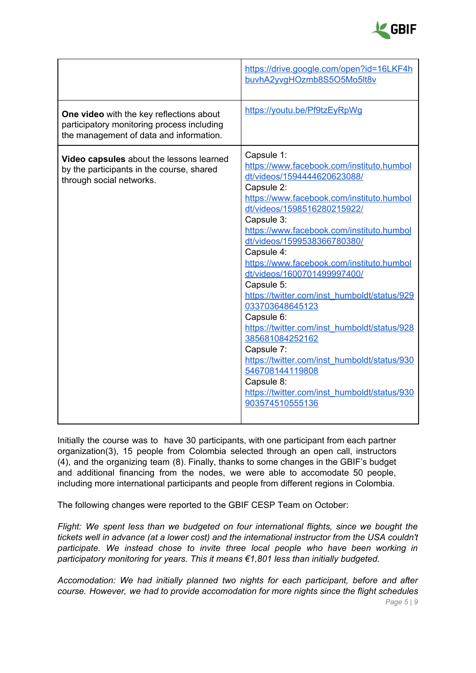

|                                                                                                                                   | https://drive.google.com/open?id=16LKF4h<br>buvhA2yvgHOzmb8S5O5Mo5lt8v                                                                                                                                                                                                                                                                                                                                                                                                                                                                                                                                                                                                                                   |
|-----------------------------------------------------------------------------------------------------------------------------------|----------------------------------------------------------------------------------------------------------------------------------------------------------------------------------------------------------------------------------------------------------------------------------------------------------------------------------------------------------------------------------------------------------------------------------------------------------------------------------------------------------------------------------------------------------------------------------------------------------------------------------------------------------------------------------------------------------|
| One video with the key reflections about<br>participatory monitoring process including<br>the management of data and information. | https://youtu.be/Pf9tzEyRpWg                                                                                                                                                                                                                                                                                                                                                                                                                                                                                                                                                                                                                                                                             |
| Video capsules about the lessons learned<br>by the participants in the course, shared<br>through social networks.                 | Capsule 1:<br>https://www.facebook.com/instituto.humbol<br>dt/videos/1594444620623088/<br>Capsule 2:<br>https://www.facebook.com/instituto.humbol<br>dt/videos/1598516280215922/<br>Capsule 3:<br>https://www.facebook.com/instituto.humbol<br>dt/videos/1599538366780380/<br>Capsule 4:<br>https://www.facebook.com/instituto.humbol<br>dt/videos/1600701499997400/<br>Capsule 5:<br>https://twitter.com/inst_humboldt/status/929<br>033703648645123<br>Capsule 6:<br>https://twitter.com/inst_humboldt/status/928<br>385681084252162<br>Capsule 7:<br>https://twitter.com/inst_humboldt/status/930<br>546708144119808<br>Capsule 8:<br>https://twitter.com/inst_humboldt/status/930<br>903574510555136 |

Initially the course was to have 30 participants, with one participant from each partner organization(3), 15 people from Colombia selected through an open call, instructors (4), and the organizing team (8). Finally, thanks to some changes in the GBIF's budget and additional financing from the nodes, we were able to accomodate 50 people, including more international participants and people from different regions in Colombia.

The following changes were reported to the GBIF CESP Team on October:

*Flight: We spent less than we budgeted on four international flights, since we bought the tickets well in advance (at a lower cost) and the international instructor from the USA couldn't participate. We instead chose to invite three local people who have been working in participatory monitoring for years. This it means €1,801 less than initially budgeted.*

*Accomodation: We had initially planned two nights for each participant, before and after course. However, we had to provide accomodation for more nights since the flight schedules Page 5 | 9*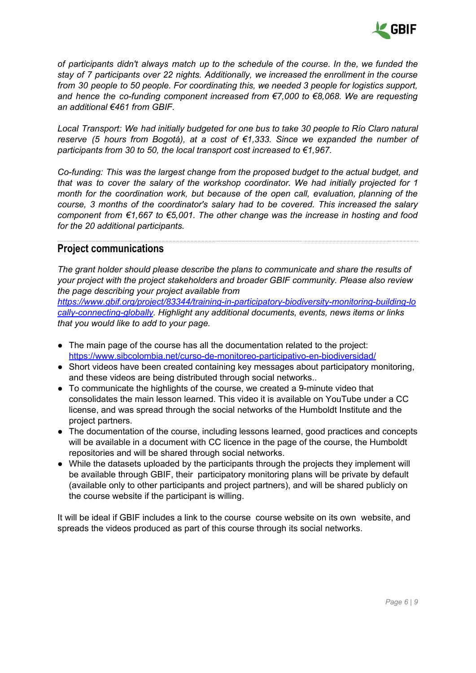

*of participants didn't always match up to the schedule of the course. In the, we funded the stay of 7 participants over 22 nights. Additionally, we increased the enrollment in the course from 30 people to 50 people. For coordinating this, we needed 3 people for logistics support, and hence the co-funding component increased from €7,000 to €8,068. We are requesting an additional €461 from GBIF.*

*Local Transport: We had initially budgeted for one bus to take 30 people to Río Claro natural reserve (5 hours from Bogotá), at a cost of €1,333. Since we expanded the number of participants from 30 to 50, the local transport cost increased to €1,967.*

*Co-funding: This was the largest change from the proposed budget to the actual budget, and that was to cover the salary of the workshop coordinator. We had initially projected for 1 month for the coordination work, but because of the open call, evaluation, planning of the course, 3 months of the coordinator's salary had to be covered. This increased the salary component from €1,667 to €5,001. The other change was the increase in hosting and food for the 20 additional participants.*

## <span id="page-5-0"></span>**Project communications**

*The grant holder should please describe the plans to communicate and share the results of your project with the project stakeholders and broader GBIF community. Please also review the page describing your project available from*

*[https://www.gbif.org/project/83344/training-in-participatory-biodiversity-monitoring-building-lo](https://www.gbif.org/project/83344/training-in-participatory-biodiversity-monitoring-building-locally-connecting-globally) [cally-connecting-globally.](https://www.gbif.org/project/83344/training-in-participatory-biodiversity-monitoring-building-locally-connecting-globally) Highlight any additional documents, events, news items or links that you would like to add to your page.*

- The main page of the course has all the documentation related to the project: <https://www.sibcolombia.net/curso-de-monitoreo-participativo-en-biodiversidad/>
- Short videos have been created containing key messages about participatory monitoring, and these videos are being distributed through social networks..
- To communicate the highlights of the course, we created a 9-minute video that consolidates the main lesson learned. This video it is available on YouTube under a CC license, and was spread through the social networks of the Humboldt Institute and the project partners.
- The documentation of the course, including lessons learned, good practices and concepts will be available in a document with CC licence in the page of the course, the Humboldt repositories and will be shared through social networks.
- While the datasets uploaded by the participants through the projects they implement will be available through GBIF, their participatory monitoring plans will be private by default (available only to other participants and project partners), and will be shared publicly on the course website if the participant is willing.

It will be ideal if GBIF includes a link to the course course website on its own website, and spreads the videos produced as part of this course through its social networks.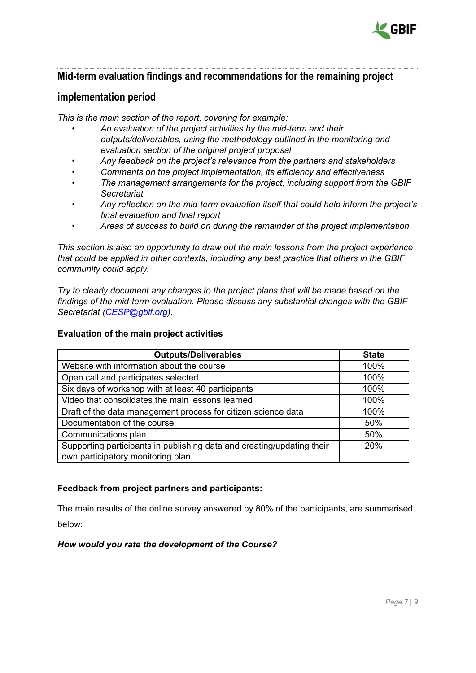

## <span id="page-6-0"></span>**Mid-term evaluation findings and recommendations for the remaining project**

## **implementation period**

*This is the main section of the report, covering for example:*

- *• An evaluation of the project activities by the mid-term and their outputs/deliverables, using the methodology outlined in the monitoring and evaluation section of the original project proposal*
- *• Any feedback on the project's relevance from the partners and stakeholders*
- *• Comments on the project implementation, its efficiency and effectiveness*
- *• The management arrangements for the project, including support from the GBIF Secretariat*
- *• Any reflection on the mid-term evaluation itself that could help inform the project's final evaluation and final report*
- *• Areas of success to build on during the remainder of the project implementation*

*This section is also an opportunity to draw out the main lessons from the project experience that could be applied in other contexts, including any best practice that others in the GBIF community could apply.*

*Try to clearly document any changes to the project plans that will be made based on the findings of the mid-term evaluation. Please discuss any substantial changes with the GBIF Secretariat ([CESP@gbif.org](mailto:CESP@gbif.org)).*

#### **Evaluation of the main project activities**

| <b>Outputs/Deliverables</b>                                                                                 | <b>State</b> |
|-------------------------------------------------------------------------------------------------------------|--------------|
| Website with information about the course                                                                   | 100%         |
| Open call and participates selected                                                                         | 100%         |
| Six days of workshop with at least 40 participants                                                          | 100%         |
| Video that consolidates the main lessons learned                                                            | 100%         |
| Draft of the data management process for citizen science data                                               | 100%         |
| Documentation of the course                                                                                 | 50%          |
| Communications plan                                                                                         | 50%          |
| Supporting participants in publishing data and creating/updating their<br>own participatory monitoring plan | <b>20%</b>   |

#### **Feedback from project partners and participants:**

The main results of the online survey answered by 80% of the participants, are summarised below:

#### *How would you rate the development of the Course?*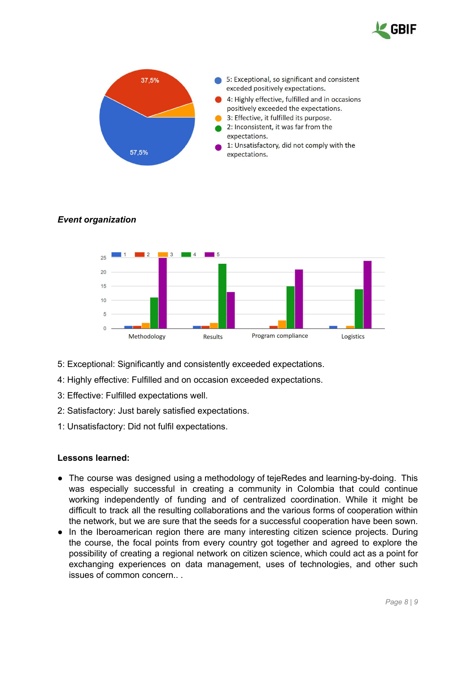



#### *Event organization*



- 5: Exceptional: Significantly and consistently exceeded expectations.
- 4: Highly effective: Fulfilled and on occasion exceeded expectations.
- 3: Effective: Fulfilled expectations well.
- 2: Satisfactory: Just barely satisfied expectations.
- 1: Unsatisfactory: Did not fulfil expectations.

#### **Lessons learned:**

- **●** The course was designed using a methodology of tejeRedes and learning-by-doing. This was especially successful in creating a community in Colombia that could continue working independently of funding and of centralized coordination. While it might be difficult to track all the resulting collaborations and the various forms of cooperation within the network, but we are sure that the seeds for a successful cooperation have been sown.
- **●** In the Iberoamerican region there are many interesting citizen science projects. During the course, the focal points from every country got together and agreed to explore the possibility of creating a regional network on citizen science, which could act as a point for exchanging experiences on data management, uses of technologies, and other such issues of common concern.. .